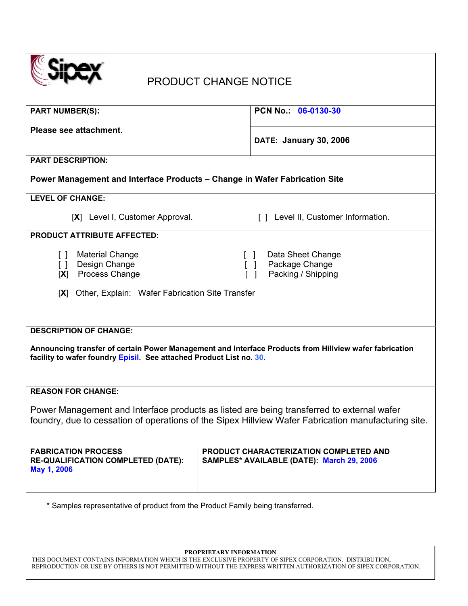| <b>PRODUCT CHANGE NOTICE</b>                                                                                                                                                                     |                                           |  |
|--------------------------------------------------------------------------------------------------------------------------------------------------------------------------------------------------|-------------------------------------------|--|
| <b>PART NUMBER(S):</b>                                                                                                                                                                           | PCN No. 06-0130-30                        |  |
| Please see attachment.                                                                                                                                                                           |                                           |  |
|                                                                                                                                                                                                  | <b>DATE: January 30, 2006</b>             |  |
| <b>PART DESCRIPTION:</b>                                                                                                                                                                         |                                           |  |
| Power Management and Interface Products - Change in Wafer Fabrication Site                                                                                                                       |                                           |  |
| <b>LEVEL OF CHANGE:</b>                                                                                                                                                                          |                                           |  |
| [X] Level I, Customer Approval.                                                                                                                                                                  | [] Level II, Customer Information.        |  |
| <b>PRODUCT ATTRIBUTE AFFECTED:</b>                                                                                                                                                               |                                           |  |
| <b>Material Change</b><br>$\Box$                                                                                                                                                                 | Data Sheet Change                         |  |
| Design Change<br>$\Box$<br>Process Change<br>[X]                                                                                                                                                 | Package Change<br>Packing / Shipping      |  |
|                                                                                                                                                                                                  |                                           |  |
| Other, Explain: Wafer Fabrication Site Transfer<br> X                                                                                                                                            |                                           |  |
|                                                                                                                                                                                                  |                                           |  |
| <b>DESCRIPTION OF CHANGE:</b>                                                                                                                                                                    |                                           |  |
| Announcing transfer of certain Power Management and Interface Products from Hillview wafer fabrication<br>facility to wafer foundry Episil. See attached Product List no. 30.                    |                                           |  |
|                                                                                                                                                                                                  |                                           |  |
|                                                                                                                                                                                                  |                                           |  |
| <b>REASON FOR CHANGE:</b>                                                                                                                                                                        |                                           |  |
| Power Management and Interface products as listed are being transferred to external wafer<br>foundry, due to cessation of operations of the Sipex Hillview Wafer Fabrication manufacturing site. |                                           |  |
|                                                                                                                                                                                                  |                                           |  |
| <b>FABRICATION PROCESS</b><br>PRODUCT CHARACTERIZATION COMPLETED AND                                                                                                                             |                                           |  |
| <b>RE-QUALIFICATION COMPLETED (DATE):</b>                                                                                                                                                        | SAMPLES* AVAILABLE (DATE): March 29, 2006 |  |
| May 1, 2006                                                                                                                                                                                      |                                           |  |
|                                                                                                                                                                                                  |                                           |  |

\* Samples representative of product from the Product Family being transferred.

**PROPRIETARY INFORMATION** 

THIS DOCUMENT CONTAINS INFORMATION WHICH IS THE EXCLUSIVE PROPERTY OF SIPEX CORPORATION. DISTRIBUTION, REPRODUCTION OR USE BY OTHERS IS NOT PERMITTED WITHOUT THE EXPRESS WRITTEN AUTHORIZATION OF SIPEX CORPORATION.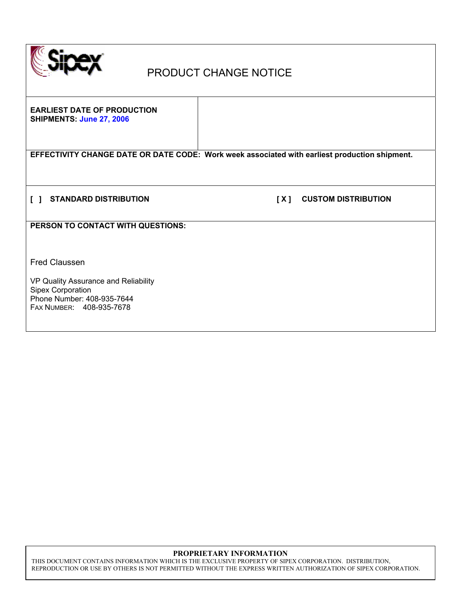

## PRODUCT CHANGE NOTICE

**EARLIEST DATE OF PRODUCTION SHIPMENTS: June 27, 2006** 

**EFFECTIVITY CHANGE DATE OR DATE CODE: Work week associated with earliest production shipment.** 

**[ ] STANDARD DISTRIBUTION [ X ] CUSTOM DISTRIBUTION** 

**PERSON TO CONTACT WITH QUESTIONS:** 

Fred Claussen

VP Quality Assurance and Reliability Sipex Corporation Phone Number: 408-935-7644 FAX NUMBER: 408-935-7678

#### **PROPRIETARY INFORMATION**

THIS DOCUMENT CONTAINS INFORMATION WHICH IS THE EXCLUSIVE PROPERTY OF SIPEX CORPORATION. DISTRIBUTION, REPRODUCTION OR USE BY OTHERS IS NOT PERMITTED WITHOUT THE EXPRESS WRITTEN AUTHORIZATION OF SIPEX CORPORATION.